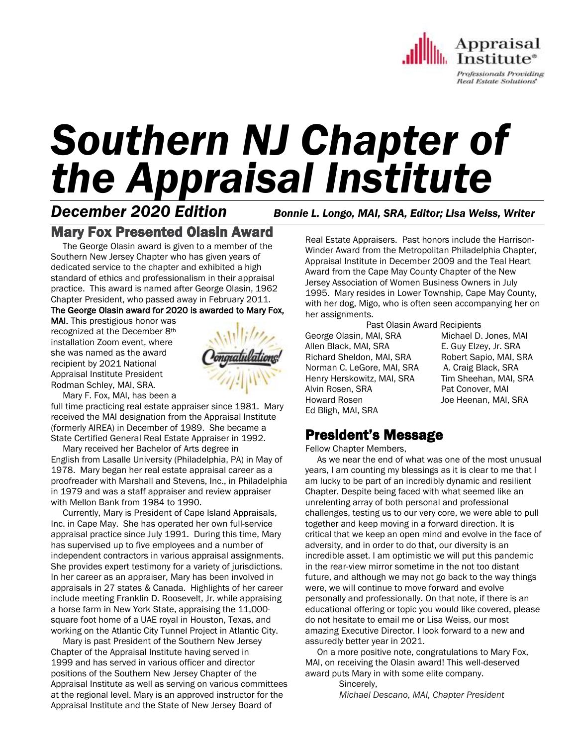

# *Southern NJ Chapter of the Appraisal Institute*

*December 2020 Edition Bonnie L. Longo, MAI, SRA, Editor; Lisa Weiss, Writer*

## Mary Fox Presented Olasin Award

 The George Olasin award is given to a member of the Southern New Jersey Chapter who has given years of dedicated service to the chapter and exhibited a high standard of ethics and professionalism in their appraisal practice. This award is named after George Olasin, 1962 Chapter President, who passed away in February 2011.

The George Olasin award for 2020 is awarded to Mary Fox,

MAI. This prestigious honor was recognized at the December 8th installation Zoom event, where she was named as the award recipient by 2021 National Appraisal Institute President Rodman Schley, MAI, SRA.



Mary F. Fox, MAI, has been a

full time practicing real estate appraiser since 1981. Mary received the MAI designation from the Appraisal Institute (formerly AIREA) in December of 1989. She became a State Certified General Real Estate Appraiser in 1992.

 Mary received her Bachelor of Arts degree in English from Lasalle University (Philadelphia, PA) in May of 1978. Mary began her real estate appraisal career as a proofreader with Marshall and Stevens, Inc., in Philadelphia in 1979 and was a staff appraiser and review appraiser with Mellon Bank from 1984 to 1990.

 Currently, Mary is President of Cape Island Appraisals, Inc. in Cape May. She has operated her own full-service appraisal practice since July 1991. During this time, Mary has supervised up to five employees and a number of independent contractors in various appraisal assignments. She provides expert testimony for a variety of jurisdictions. In her career as an appraiser, Mary has been involved in appraisals in 27 states & Canada. Highlights of her career include meeting Franklin D. Roosevelt, Jr. while appraising a horse farm in New York State, appraising the 11,000 square foot home of a UAE royal in Houston, Texas, and working on the Atlantic City Tunnel Project in Atlantic City.

 Mary is past President of the Southern New Jersey Chapter of the Appraisal Institute having served in 1999 and has served in various officer and director positions of the Southern New Jersey Chapter of the Appraisal Institute as well as serving on various committees at the regional level. Mary is an approved instructor for the Appraisal Institute and the State of New Jersey Board of

Real Estate Appraisers. Past honors include the Harrison-Winder Award from the Metropolitan Philadelphia Chapter, Appraisal Institute in December 2009 and the Teal Heart Award from the Cape May County Chapter of the New Jersey Association of Women Business Owners in July 1995. Mary resides in Lower Township, Cape May County, with her dog, Migo, who is often seen accompanying her on her assignments.

Past Olasin Award Recipients

George Olasin, MAI, SRA Michael D. Jones, MAI Allen Black, MAI, SRA E. Guy Elzey, Jr. SRA Richard Sheldon, MAI, SRA Robert Sapio, MAI, SRA Norman C. LeGore, MAI, SRA A. Craig Black, SRA Henry Herskowitz, MAI, SRA Tim Sheehan, MAI, SRA Alvin Rosen, SRA Pat Conover, MAI Howard Rosen Joe Heenan, MAI, SRA Ed Bligh, MAI, SRA

## President's Message

Fellow Chapter Members,

 As we near the end of what was one of the most unusual years, I am counting my blessings as it is clear to me that I am lucky to be part of an incredibly dynamic and resilient Chapter. Despite being faced with what seemed like an unrelenting array of both personal and professional challenges, testing us to our very core, we were able to pull together and keep moving in a forward direction. It is critical that we keep an open mind and evolve in the face of adversity, and in order to do that, our diversity is an incredible asset. I am optimistic we will put this pandemic in the rear-view mirror sometime in the not too distant future, and although we may not go back to the way things were, we will continue to move forward and evolve personally and professionally. On that note, if there is an educational offering or topic you would like covered, please do not hesitate to email me or Lisa Weiss, our most amazing Executive Director. I look forward to a new and assuredly better year in 2021.

 On a more positive note, congratulations to Mary Fox, MAI, on receiving the Olasin award! This well-deserved award puts Mary in with some elite company.

> Sincerely, *Michael Descano, MAI, Chapter President*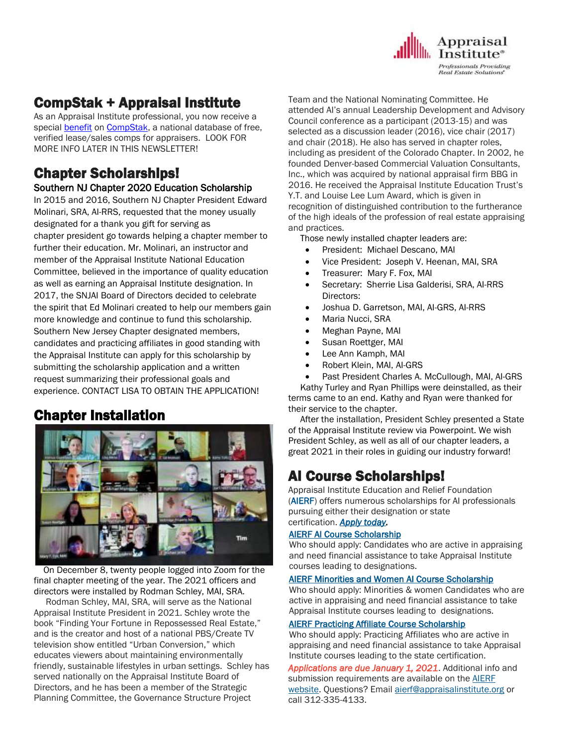

# CompStak + Appraisal Institute

As an Appraisal Institute professional, you now receive a special **[benefit](https://go.compstak.com/appraisal-institute) on CompStak**, a national database of free, verified lease/sales comps for appraisers. LOOK FOR MORE INFO LATER IN THIS NEWSLETTER!

## Chapter Scholarships! Southern NJ Chapter 2020 Education Scholarship

In 2015 and 2016, Southern NJ Chapter President Edward Molinari, SRA, AI-RRS, requested that the money usually designated for a thank you gift for serving as chapter president go towards helping a chapter member to further their education. Mr. Molinari, an instructor and member of the Appraisal Institute National Education Committee, believed in the importance of quality education as well as earning an Appraisal Institute designation. In 2017, the SNJAI Board of Directors decided to celebrate the spirit that Ed Molinari created to help our members gain more knowledge and continue to fund this scholarship. Southern New Jersey Chapter designated members, candidates and practicing affiliates in good standing with the Appraisal Institute can apply for this scholarship by submitting the scholarship application and a written request summarizing their professional goals and experience. CONTACT LISA TO OBTAIN THE APPLICATION!

# Chapter Installation



 On December 8, twenty people logged into Zoom for the final chapter meeting of the year. The 2021 officers and directors were installed by Rodman Schley, MAI, SRA.

 Rodman Schley, MAI, SRA, will serve as the National Appraisal Institute President in 2021. Schley wrote the book "Finding Your Fortune in Repossessed Real Estate," and is the creator and host of a national PBS/Create TV television show entitled "Urban Conversion," which educates viewers about maintaining environmentally friendly, sustainable lifestyles in urban settings. Schley has served nationally on the Appraisal Institute Board of Directors, and he has been a member of the Strategic Planning Committee, the Governance Structure Project

Team and the National Nominating Committee. He attended AI's annual Leadership Development and Advisory Council conference as a participant (2013-15) and was selected as a discussion leader (2016), vice chair (2017) and chair (2018). He also has served in chapter roles, including as president of the Colorado Chapter. In 2002, he founded Denver-based Commercial Valuation Consultants, Inc., which was acquired by national appraisal firm BBG in 2016. He received the Appraisal Institute Education Trust's Y.T. and Louise Lee Lum Award, which is given in recognition of distinguished contribution to the furtherance of the high ideals of the profession of real estate appraising and practices.

Those newly installed chapter leaders are:

- President: Michael Descano, MAI
- Vice President: Joseph V. Heenan, MAI, SRA
- Treasurer: Mary F. Fox, MAI
- Secretary: Sherrie Lisa Galderisi, SRA, AI-RRS Directors:
- Joshua D. Garretson, MAI, AI-GRS, AI-RRS
- Maria Nucci, SRA
- Meghan Payne, MAI
- Susan Roettger, MAI
- Lee Ann Kamph, MAI
- Robert Klein, MAI, AI-GRS
- Past President Charles A. McCullough, MAI, AI-GRS

 Kathy Turley and Ryan Phillips were deinstalled, as their terms came to an end. Kathy and Ryan were thanked for their service to the chapter.

 After the installation, President Schley presented a State of the Appraisal Institute review via Powerpoint. We wish President Schley, as well as all of our chapter leaders, a great 2021 in their roles in guiding our industry forward!

# AI Course Scholarships!

Appraisal Institute Education and Relief Foundation [\(AIERF\)](http://send.appraisalinstitute.org/link.cfm?r=vwtD93oHHyUAMd-FHE_JHA~~&pe=I7r27jO00JP_datVrrwfgsEa1QNM2Wc8pvOdutrU57HmRSxfSXuWUh8nAP9ALi4ZE966B-fverEGlc68dx9Z2w~~&t=YgIOXiCsZjr7QVdUTXCohA~~) offers numerous scholarships for AI professionals pursuing either their designation or state certification. *[Apply today.](http://send.appraisalinstitute.org/link.cfm?r=vwtD93oHHyUAMd-FHE_JHA~~&pe=e6VBvaoOr-y-_SVay9NbANVKBcimqNBE6CcllWT8GTV_KpxxS7PNC6dBZMR1LjGPvB7rRbhoGNzT0wZ8fX9egw~~&t=YgIOXiCsZjr7QVdUTXCohA~~)*

#### [AIERF AI Course Scholarship](http://send.appraisalinstitute.org/link.cfm?r=vwtD93oHHyUAMd-FHE_JHA~~&pe=0_g56UJzPy1uamFbfyFTxD2tFGZiHvdoWNflD0RZExrP9Wopm_xZnV_FIl1P8_qK-1BHJ6Gaysk13rbfqsmJVw~~&t=YgIOXiCsZjr7QVdUTXCohA~~)

Who should apply: Candidates who are active in appraising and need financial assistance to take Appraisal Institute courses leading to designations.

#### [AIERF Minorities and Women AI Course Scholarship](http://send.appraisalinstitute.org/link.cfm?r=vwtD93oHHyUAMd-FHE_JHA~~&pe=gtl78IW0YOIufOxqZEfCsh4EfQV0D3mcpkUisH--cArEFfo5-FI0F0S1Pm5qjPrDtpY-BkT2kq9Yz631eIEgBQ~~&t=YgIOXiCsZjr7QVdUTXCohA~~)

Who should apply: Minorities & women Candidates who are active in appraising and need financial assistance to take Appraisal Institute courses leading to designations.

#### [AIERF Practicing Affiliate Course Scholarship](http://send.appraisalinstitute.org/link.cfm?r=vwtD93oHHyUAMd-FHE_JHA~~&pe=DkUawqJRPOi68Nkaakol5kNO97YXbqnB_XYtIj7uRGs2Xg-WHdxbc2KZOIMkdPjI1JpYOtpy8DvGFXToVTLqdw~~&t=YgIOXiCsZjr7QVdUTXCohA~~)

Who should apply: Practicing Affiliates who are active in appraising and need financial assistance to take Appraisal Institute courses leading to the state certification.

*Applications are due January 1, 2021*. Additional info and submission requirements are available on the **AIERF** [website.](http://send.appraisalinstitute.org/link.cfm?r=vwtD93oHHyUAMd-FHE_JHA~~&pe=esgtV0JP4BDYtNVfskKc0fMMtKec1ifXekdu3MiZ_iCtLHIM6fVVOgi-ZhTUXXuxlGxvgeB4TmsIj7yxelMzJg~~&t=YgIOXiCsZjr7QVdUTXCohA~~) Questions? Email [aierf@appraisalinstitute.org](mailto:aierf@appraisalinstitute.org?subject=AIERF%20Scholarships) or call 312-335-4133.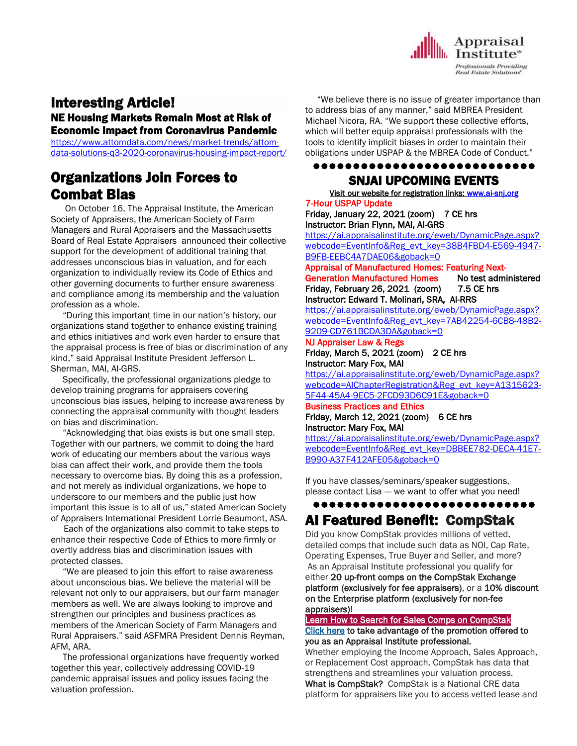

# Interesting Article!

NE Housing Markets Remain Most at Risk of Economic Impact from Coronavirus Pandemic

[https://www.attomdata.com/news/market-trends/attom](https://www.attomdata.com/news/market-trends/attom-data-solutions-q3-2020-coronavirus-housing-impact-report/)[data-solutions-q3-2020-coronavirus-housing-impact-report/](https://www.attomdata.com/news/market-trends/attom-data-solutions-q3-2020-coronavirus-housing-impact-report/)

# Organizations Join Forces to Combat Bias

 On October 16, The Appraisal Institute, the American Society of Appraisers, the American Society of Farm Managers and Rural Appraisers and the Massachusetts Board of Real Estate Appraisers announced their collective support for the development of additional training that addresses unconscious bias in valuation, and for each organization to individually review its Code of Ethics and other governing documents to further ensure awareness and compliance among its membership and the valuation profession as a whole.

 "During this important time in our nation's history, our organizations stand together to enhance existing training and ethics initiatives and work even harder to ensure that the appraisal process is free of bias or discrimination of any kind," said Appraisal Institute President Jefferson L. Sherman, MAI, AI-GRS.

 Specifically, the professional organizations pledge to develop training programs for appraisers covering unconscious bias issues, helping to increase awareness by connecting the appraisal community with thought leaders on bias and discrimination.

 "Acknowledging that bias exists is but one small step. Together with our partners, we commit to doing the hard work of educating our members about the various ways bias can affect their work, and provide them the tools necessary to overcome bias. By doing this as a profession, and not merely as individual organizations, we hope to underscore to our members and the public just how important this issue is to all of us," stated American Society of Appraisers International President Lorrie Beaumont, ASA.

 Each of the organizations also commit to take steps to enhance their respective Code of Ethics to more firmly or overtly address bias and discrimination issues with protected classes.

 "We are pleased to join this effort to raise awareness about unconscious bias. We believe the material will be relevant not only to our appraisers, but our farm manager members as well. We are always looking to improve and strengthen our principles and business practices as members of the American Society of Farm Managers and Rural Appraisers." said ASFMRA President Dennis Reyman, AFM, ARA.

 The professional organizations have frequently worked together this year, collectively addressing COVID-19 pandemic appraisal issues and policy issues facing the valuation profession.

 "We believe there is no issue of greater importance than to address bias of any manner," said MBREA President Michael Nicora, RA. "We support these collective efforts, which will better equip appraisal professionals with the tools to identify implicit biases in order to maintain their obligations under USPAP & the MBREA Code of Conduct."

#### ●●●●●●●●●●●●●●●●●●●●●●●●●●●●

## SNJAI UPCOMING EVENTS

[Visit](http://www.myappraisalinstitute.org/education/southernNewJersey) our website for registration links[: www.ai-snj.org](http://www.ai-snj.org/)  7-Hour USPAP Update

Friday, January 22, 2021 (zoom) 7 CE hrs Instructor: Brian Flynn, MAI, AI-GRS

[https://ai.appraisalinstitute.org/eweb/DynamicPage.aspx?](https://ai.appraisalinstitute.org/eweb/DynamicPage.aspx?webcode=EventInfo&Reg_evt_key=38B4FBD4-E569-4947-B9FB-EEBC4A7DAE06&goback=0) [webcode=EventInfo&Reg\\_evt\\_key=38B4FBD4-E569-4947-](https://ai.appraisalinstitute.org/eweb/DynamicPage.aspx?webcode=EventInfo&Reg_evt_key=38B4FBD4-E569-4947-B9FB-EEBC4A7DAE06&goback=0) [B9FB-EEBC4A7DAE06&goback=0](https://ai.appraisalinstitute.org/eweb/DynamicPage.aspx?webcode=EventInfo&Reg_evt_key=38B4FBD4-E569-4947-B9FB-EEBC4A7DAE06&goback=0)

Appraisal of Manufactured Homes: Featuring Next-

Generation Manufactured Homes No test administered Friday, February 26, 2021 (zoom) 7.5 CE hrs Instructor: Edward T. Molinari, SRA, AI-RRS

[https://ai.appraisalinstitute.org/eweb/DynamicPage.aspx?](https://ai.appraisalinstitute.org/eweb/DynamicPage.aspx?webcode=EventInfo&Reg_evt_key=7AB42254-6CB8-48B2-9209-CD761BCDA3DA&goback=0) [webcode=EventInfo&Reg\\_evt\\_key=7AB42254-6CB8-48B2-](https://ai.appraisalinstitute.org/eweb/DynamicPage.aspx?webcode=EventInfo&Reg_evt_key=7AB42254-6CB8-48B2-9209-CD761BCDA3DA&goback=0) [9209-CD761BCDA3DA&goback=0](https://ai.appraisalinstitute.org/eweb/DynamicPage.aspx?webcode=EventInfo&Reg_evt_key=7AB42254-6CB8-48B2-9209-CD761BCDA3DA&goback=0)

#### NJ Appraiser Law & Regs

Friday, March 5, 2021 (zoom) 2 CE hrs Instructor: Mary Fox, MAI

[https://ai.appraisalinstitute.org/eweb/DynamicPage.aspx?](https://ai.appraisalinstitute.org/eweb/DynamicPage.aspx?webcode=AIChapterRegistration&Reg_evt_key=A1315623-5F44-45A4-9EC5-2FCD93D6C91E&goback=0) [webcode=AIChapterRegistration&Reg\\_evt\\_key=A1315623-](https://ai.appraisalinstitute.org/eweb/DynamicPage.aspx?webcode=AIChapterRegistration&Reg_evt_key=A1315623-5F44-45A4-9EC5-2FCD93D6C91E&goback=0) [5F44-45A4-9EC5-2FCD93D6C91E&goback=0](https://ai.appraisalinstitute.org/eweb/DynamicPage.aspx?webcode=AIChapterRegistration&Reg_evt_key=A1315623-5F44-45A4-9EC5-2FCD93D6C91E&goback=0)

#### Business Practices and Ethics Friday, March 12, 2021 (zoom) 6 CE hrs Instructor: Mary Fox, MAI

[https://ai.appraisalinstitute.org/eweb/DynamicPage.aspx?](https://ai.appraisalinstitute.org/eweb/DynamicPage.aspx?webcode=EventInfo&Reg_evt_key=DBBEE782-DECA-41E7-B990-A37F412AFE05&goback=0) [webcode=EventInfo&Reg\\_evt\\_key=DBBEE782-DECA-41E7-](https://ai.appraisalinstitute.org/eweb/DynamicPage.aspx?webcode=EventInfo&Reg_evt_key=DBBEE782-DECA-41E7-B990-A37F412AFE05&goback=0) [B990-A37F412AFE05&goback=0](https://ai.appraisalinstitute.org/eweb/DynamicPage.aspx?webcode=EventInfo&Reg_evt_key=DBBEE782-DECA-41E7-B990-A37F412AFE05&goback=0)

If you have classes/seminars/speaker suggestions, please contact Lisa --- we want to offer what you need!

## ●●●●●●●●●●●●●●●●●●●●●●●●●●●● AI Featured Benefit: CompStak

Did you know CompStak provides millions of vetted, detailed comps that include such data as NOI, Cap Rate, Operating Expenses, True Buyer and Seller, and more? As an Appraisal Institute professional you qualify for either 20 up-front comps on the CompStak Exchange platform (exclusively for fee appraisers), or a 10% discount on the Enterprise platform (exclusively for non-fee appraisers)!

## [Learn How to Search for Sales Comps on CompStak](http://send.appraisalinstitute.org/link.cfm?r=vwtD93oHHyUAMd-FHE_JHA~~&pe=oHa0BO31PLbPU1xiWyBebdXa3bnKU93I6jU7jgtcMNp7Ni6BGzU3nbQvKSeLA4QxVboihMVFmyVrd8Hm0zshLQ~~&t=-Q4qDgf9h2lth2a58Z5LGQ~~)

[Click here](http://send.appraisalinstitute.org/link.cfm?r=vwtD93oHHyUAMd-FHE_JHA~~&pe=9OhkSj1xPhkLNxZhKNyw0cWhSgUvp22zIwc13Bu42eHtr1mNYsdMxLoCFS0xfthe6K_oJOqu1sr-0_nZryuzdw~~&t=-Q4qDgf9h2lth2a58Z5LGQ~~) to take advantage of the promotion offered to you as an Appraisal Institute professional.

Whether employing the Income Approach, Sales Approach, or Replacement Cost approach, CompStak has data that strengthens and streamlines your valuation process. What is CompStak? CompStak is a National CRE data

platform for appraisers like you to access vetted lease and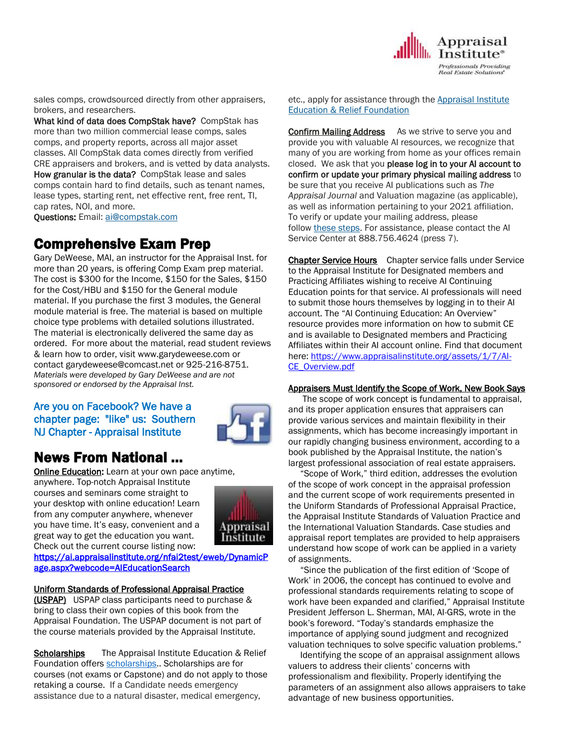

sales comps, crowdsourced directly from other appraisers, brokers, and researchers.

What kind of data does CompStak have? CompStak has more than two million commercial lease comps, sales comps, and property reports, across all major asset classes. All CompStak data comes directly from verified CRE appraisers and brokers, and is vetted by data analysts. How granular is the data? CompStak lease and sales comps contain hard to find details, such as tenant names, lease types, starting rent, net effective rent, free rent, TI, cap rates, NOI, and more.

Questions: Email: [ai@compstak.com](mailto:ai@compstak.com)

# Comprehensive Exam Prep

Gary DeWeese, MAI, an instructor for the Appraisal Inst. for more than 20 years, is offering Comp Exam prep material. The cost is \$300 for the Income, \$150 for the Sales, \$150 for the Cost/HBU and \$150 for the General module material. If you purchase the first 3 modules, the General module material is free. The material is based on multiple choice type problems with detailed solutions illustrated. The material is electronically delivered the same day as ordered. For more about the material, read student reviews & learn how to order, visit www.garydeweese.com or contact garydeweese@comcast.net or 925-216-8751. *Materials were developed by Gary DeWeese and are not sponsored or endorsed by the Appraisal Inst.*

## Are you on Facebook? We have a chapter page: "like" us: Southern NJ Chapter - Appraisal Institute



# News From National …

**[Online Education:](http://www.mmsend50.com/ls.cfm?r=99596491&sid=8974475&m=957997&u=Appraise&s=http://www.appraisalinstitute.org/online)** Learn at your own pace anytime,

anywhere. Top-notch Appraisal Institute courses and seminars come straight to your desktop with online education! Learn from any computer anywhere, whenever you have time. It's easy, convenient and a great way to get the education you want. Check out the current course listing now:



[https://ai.appraisalinstitute.org/nfai2test/eweb/DynamicP](https://ai.appraisalinstitute.org/nfai2test/eweb/DynamicPage.aspx?webcode=AIEducationSearch) [age.aspx?webcode=AIEducationSearch](https://ai.appraisalinstitute.org/nfai2test/eweb/DynamicPage.aspx?webcode=AIEducationSearch) 

## Uniform Standards of Professional Appraisal Practice

(USPAP) USPAP class participants need to purchase & bring to class their own copies of this book from the Appraisal Foundation. The USPAP document is not part of the course materials provided by the Appraisal Institute.

Scholarships The Appraisal Institute Education & Relief Foundation offers [scholarships.](http://send.appraisalinstitute.org/link.cfm?r=TyxXOooBFM-9kcaVyjABIA~~&pe=k_y06NsR9-tB3atEDYdXWLTTqBM_H3aeIPclU_7mx0sd29sU_T_sOiJTIa3747wAJXWGK_wLmsw-M82swC-Ijw~~&t=jouIQRRPlOfDkLqJe5AmNA~~). Scholarships are for courses (not exams or Capstone) and do not apply to those retaking a course. If a Candidate needs emergency assistance due to a natural disaster, medical emergency,

etc., apply for assistance through the Appraisal Institute Education & Relief Foundation

**Confirm Mailing Address** As we strive to serve you and provide you with valuable AI resources, we recognize that many of you are working from home as your offices remain closed. We ask that you please log in to your AI account to confirm or update your primary physical mailing address to be sure that you receive AI publications such as *The Appraisal Journal* and Valuation magazine (as applicable), as well as information pertaining to your 2021 affiliation. To verify or update your mailing address, please follow these [steps.](http://send.appraisalinstitute.org/link.cfm?r=vwtD93oHHyUAMd-FHE_JHA~~&pe=x7zCh13g1HD0mFu_FFKTpfP0em9uPrDubA6bKcwWCTc2BL6fBni4FA0HZ8s7wU40PaG98ZnHNOE5OITwlFcLKw~~&t=Q_Yax3HvTLgUW7ikKX1a0w~~) For assistance, please contact the AI Service Center at 888.756.4624 (press 7).

Chapter Service Hours Chapter service falls under Service to the Appraisal Institute for Designated members and Practicing Affiliates wishing to receive AI Continuing Education points for that service. AI professionals will need to submit those hours themselves by logging in to their AI account. The "AI Continuing Education: An Overview" resource provides more information on how to submit CE and is available to Designated members and Practicing Affiliates within their AI account online. Find that document here: https://www.appraisalinstitute.org/assets/1/7/Al-[CE\\_Overview.pdf](https://www.appraisalinstitute.org/assets/1/7/AI-CE_Overview.pdf)

## Appraisers Must Identify the Scope of Work, New Book Says

 The scope of work concept is fundamental to appraisal, and its proper application ensures that appraisers can provide various services and maintain flexibility in their assignments, which has become increasingly important in our rapidly changing business environment, according to a book published by the Appraisal Institute, the nation's largest professional association of real estate appraisers.

 "Scope of Work," third edition, addresses the evolution of the scope of work concept in the appraisal profession and the current scope of work requirements presented in the Uniform Standards of Professional Appraisal Practice, the Appraisal Institute Standards of Valuation Practice and the International Valuation Standards. Case studies and appraisal report templates are provided to help appraisers understand how scope of work can be applied in a variety of assignments.

 "Since the publication of the first edition of 'Scope of Work' in 2006, the concept has continued to evolve and professional standards requirements relating to scope of work have been expanded and clarified," Appraisal Institute President Jefferson L. Sherman, MAI, AI-GRS, wrote in the book's foreword. "Today's standards emphasize the importance of applying sound judgment and recognized valuation techniques to solve specific valuation problems."

 Identifying the scope of an appraisal assignment allows valuers to address their clients' concerns with professionalism and flexibility. Properly identifying the parameters of an assignment also allows appraisers to take advantage of new business opportunities.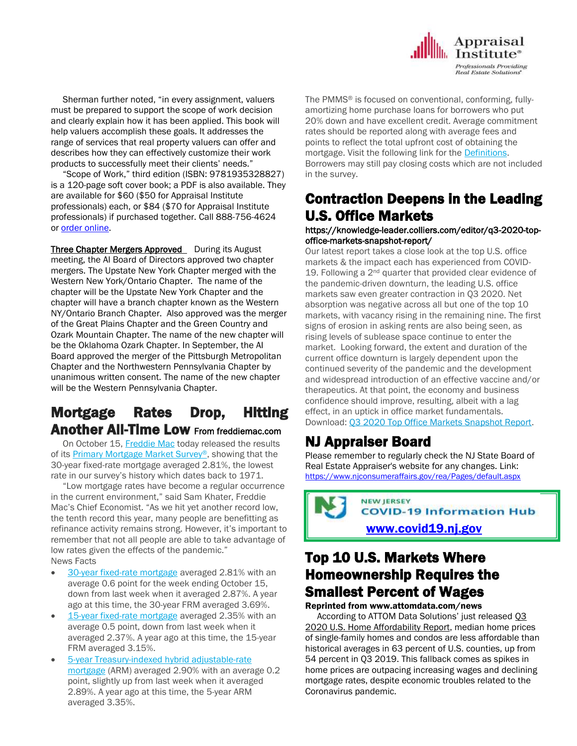Sherman further noted, "in every assignment, valuers must be prepared to support the scope of work decision and clearly explain how it has been applied. This book will help valuers accomplish these goals. It addresses the range of services that real property valuers can offer and describes how they can effectively customize their work products to successfully meet their clients' needs."

 "Scope of Work," third edition (ISBN: 9781935328827) is a 120-page soft cover book; a PDF is also available. They are available for \$60 (\$50 for Appraisal Institute professionals) each, or \$84 (\$70 for Appraisal Institute professionals) if purchased together. Call 888-756-4624 or order [online.](https://ai.appraisalinstitute.org/eweb/DynamicPage.aspx?Action=Add&ObjectKeyFrom=1A83491A-9853-4C87-86A4-F7D95601C2E2&WebCode=ProdDetailAdd&DoNotSave=yes&ParentObject=CentralizedOrderEntry&ParentDataObject=Invoice%20Detail&ivd_formkey=69202792-63d7-4ba2-bf4e-a0da41270555&ivd_cst_key=00000000-0000-0000-0000-000000000000&ivd_cst_ship_key=00000000-0000-0000-0000-000000000000&ivd_prc_prd_key=1A084FB3-6B87-4AAA-9FC8-C058CF26ECEA)

Three Chapter Mergers Approved During its August meeting, the AI Board of Directors approved two chapter mergers. The Upstate New York Chapter merged with the Western New York/Ontario Chapter. The name of the chapter will be the Upstate New York Chapter and the chapter will have a branch chapter known as the Western NY/Ontario Branch Chapter. Also approved was the merger of the Great Plains Chapter and the Green Country and Ozark Mountain Chapter. The name of the new chapter will be the Oklahoma Ozark Chapter. In September, the AI Board approved the merger of the Pittsburgh Metropolitan Chapter and the Northwestern Pennsylvania Chapter by unanimous written consent. The name of the new chapter will be the Western Pennsylvania Chapter.

# Mortgage Rates Drop, Hitting Another All-Time Low From freddiemac.com

 On October 15, [Freddie Mac](http://www.freddiemac.com/) today released the results of its [Primary Mortgage Market Survey](http://www.freddiemac.com/pmms/index.html?intcmp=CWS-HP)®, showing that the 30-year fixed-rate mortgage averaged 2.81%, the lowest rate in our survey's history which dates back to 1971.

 "Low mortgage rates have become a regular occurrence in the current environment," said Sam Khater, Freddie Mac's Chief Economist. "As we hit yet another record low, the tenth record this year, many people are benefitting as refinance activity remains strong. However, it's important to remember that not all people are able to take advantage of low rates given the effects of the pandemic." News Facts

- [30-year fixed-rate mortgage](http://www.freddiemac.com/pmms/pmms_archives.html) averaged 2.81% with an average 0.6 point for the week ending October 15, down from last week when it averaged 2.87%. A year ago at this time, the 30-year FRM averaged 3.69%.
- 15-year [fixed-rate mortgage](http://www.freddiemac.com/pmms/pmms_archives.html) averaged 2.35% with an average 0.5 point, down from last week when it averaged 2.37%. A year ago at this time, the 15-year FRM averaged 3.15%.
- [5-year Treasury-indexed hybrid adjustable-rate](http://www.freddiemac.com/pmms/pmms_archives.html)  [mortgage](http://www.freddiemac.com/pmms/pmms_archives.html) (ARM) averaged 2.90% with an average 0.2 point, slightly up from last week when it averaged 2.89%. A year ago at this time, the 5-year ARM averaged 3.35%.

The PMMS® is focused on conventional, conforming, fullyamortizing home purchase loans for borrowers who put 20% down and have excellent credit. Average commitment rates should be reported along with average fees and points to reflect the total upfront cost of obtaining the mortgage. Visit the following link for the [Definitions.](http://www.freddiemac.com/pmms/weightings/weightings_series_011.html?type=popup&height=600&width=700) Borrowers may still pay closing costs which are not included in the survey.

Appraisal **L** Institute<sup>®</sup> **Professionals Providing Real Estate Solutions** 

# Contraction Deepens in the Leading U.S. Office Markets

### https://knowledge-leader.colliers.com/editor/q3-2020-topoffice-markets-snapshot-report/

Our latest report takes a close look at the top U.S. office markets & the impact each has experienced from COVID-19. Following a  $2<sup>nd</sup>$  quarter that provided clear evidence of the pandemic-driven downturn, the leading U.S. office markets saw even greater contraction in Q3 2020. Net absorption was negative across all but one of the top 10 markets, with vacancy rising in the remaining nine. The first signs of erosion in asking rents are also being seen, as rising levels of sublease space continue to enter the market. Looking forward, the extent and duration of the current office downturn is largely dependent upon the continued severity of the pandemic and the development and widespread introduction of an effective vaccine and/or therapeutics. At that point, the economy and business confidence should improve, resulting, albeit with a lag effect, in an uptick in office market fundamentals. Download: [Q3 2020 Top Office Markets Snapshot Report.](https://www2.colliers.com/en/research/2020-q3-top-office-markets-snapshot-report?utm_source=sfmc%e2%80%8b&utm_medium=email%e2%80%8b&utm_campaign=Q3+2020+Top+Office+Report%e2%80%8b&utm_term=Q3+2020+Top+Office+Markets+Snapshot+Report%e2%80%8b&utm_id=13712%e2%80%8b&sfmc_id=3156296&Name=&FromEmail=&ReplyEmail=)

# NJ Appraiser Board

Please remember to regularly check the NJ State Board of Real Estate Appraiser's website for any changes. Link: <https://www.njconsumeraffairs.gov/rea/Pages/default.aspx>

**NEW JERSEY COVID-19 Information Hub** [www.covid19.nj.gov](http://www.covid19.nj.gov/)

# Top 10 U.S. Markets Where Homeownership Requires the Smallest Percent of Wages

## Reprinted from www.attomdata.com/news

 According to ATTOM Data Solutions' just released [Q3](https://www.attomdata.com/news/market-trends/home-sales-prices/attom-data-solutions-q3-2020-home-affordability-report/) 2020 U.S. Home [Affordability](https://www.attomdata.com/news/market-trends/home-sales-prices/attom-data-solutions-q3-2020-home-affordability-report/) Report, median home prices of single-family homes and condos are less affordable than historical averages in 63 percent of U.S. counties, up from 54 percent in Q3 2019. This fallback comes as spikes in home prices are outpacing increasing wages and declining mortgage rates, despite economic troubles related to the Coronavirus pandemic.